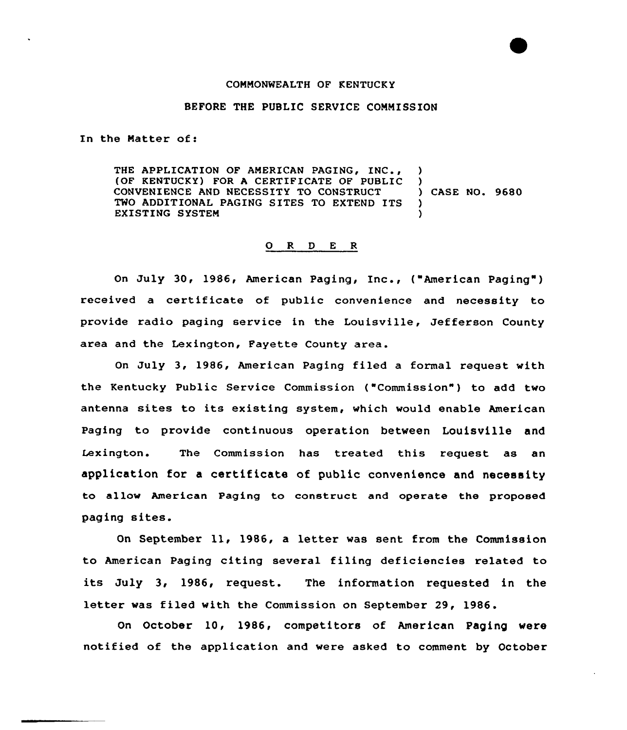## COMMONWEALTH OF KENTUCKY

## BEFORE THE PUBLIC SERVICE COMMISSION

In the Matter of:

THE APPLICATION OF AMERICAN PAGING, INC., (OF KENTUCKY) FOR A CERTIFICATE OF PUBLIC CONVENIENCE AND NECESSITY TO CONSTRUCT TWO ADDITIONAL PAGING SITES TO EXTEND ITS EXISTING SYSTEM ) ) ) CASE NO. 9680 ) )

## 0 <sup>R</sup> <sup>D</sup> <sup>E</sup> <sup>R</sup>

On July 30, 1986, American Paging, Inc., ("American Paging") received a certificate of public convenience and necessity to provide radio paging service in the Louisville, Jefferson County area and the Lexington, Fayette County area.

On July 3, 1986, American Paging filed a formal request with the Kentucky Public Service Commission ("Commission" ) to add two antenna sites to its existing system, vhich would enable American Paging to provide continuous operation between Louisville and Lexington. The Commission has treated this request as an application for a certificate of public convenience and necessity to allow American Paging to construct and operate the proposed paging sites.

On September ll, 1986, <sup>a</sup> letter vas sent from the Commission to American Paging citing several filing deficiencies related to its July 3, 1986, request. The information requested in the letter was filed with the Commission on September 29, 1986.

On October 10, 1986, competitors of American Paging vere notified of the application and were asked to comment by October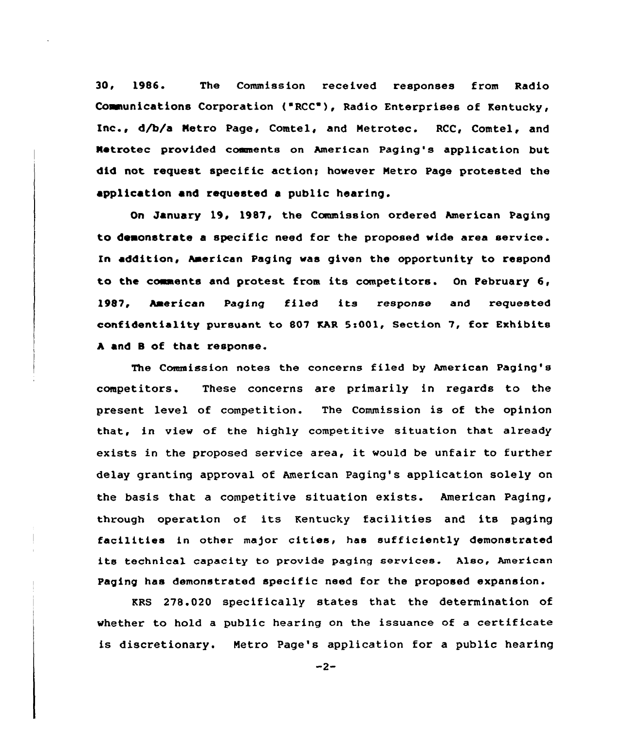30, 1986. The Commission received responses from Radio Communications Corporation ("RCC"), Radio Enterprises of Kentucky, Inc., d/b/a Metro Page, Comtel, and Metrotec. RCC, Comtel, and Netrotec provided comments on American Paging's application but did not request specific action; however Metro Page protested the application and requested a public hearing.

On January 19, 1987, the Commission ordered American Paging to demonstrate a specific need for the proposed vide area service. In addition, American Paging was given the opportunity to respond to the comments and protest from its competitors. On February 6, 1987, American Paging filed its response and xequested confidentiality pursuant to 807 KAR 5zOOl, Section 7, for Exhibits <sup>A</sup> and 8 of that response.

The Commission notes the concerns filed by American Paging's competitors. These concerns are primarily in regards to the present level of competition. The Commission is of the opinion that, in view of the highly competitive situation that already exists in the proposed service area, it would be unfair to further delay granting approval of American Paging's application solely on the basis that a competitive situation exists. American Paging, through operation of its Kentucky facilities and its paging facilities in other ma)or cities, has sufficiently demonstrated its technical capacity to provide paging services. Also, American Paging has demonstrated specific need for the proposed expansion.

KRS 278.020 specifically states that the determination of whether to hold a public hearing on the issuance of a certificate is discretionary. Metro Page's application for a public hearing

 $-2-$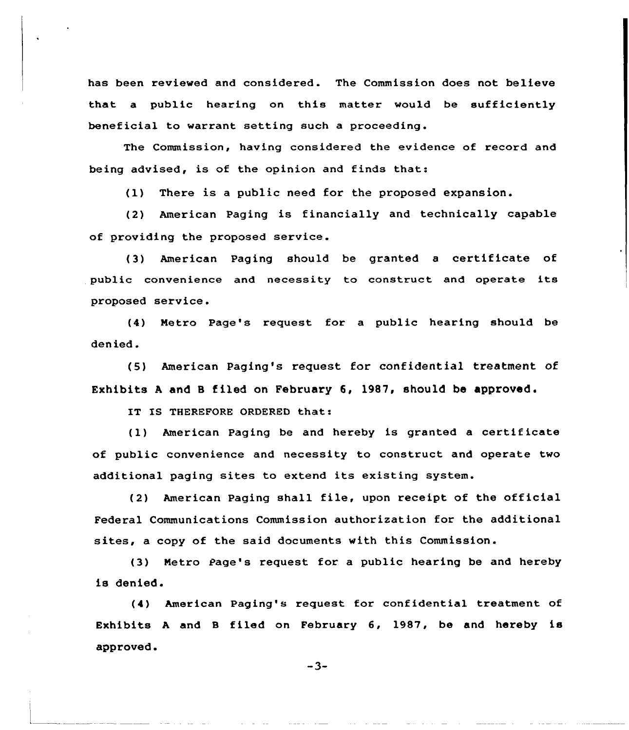has been reviewed and considered. The Commission does not believe that a public hearing on this matter would be sufficiently beneficial to warrant setting such a proceeding.

The Commission, having considered the evidence of record and being advised, is of the opinion and finds that:

(1) There is a public need for the proposed expansion.

(2) American Paging is financially and technically capable of providing the proposed service.

(3) American Paging should be granted <sup>a</sup> certificate of public convenience and necessity to construct and operate its proposed service.

(4) Netro Page's request for a public hearing should be denied.

(5) American Paging's request for confidential treatment of Exhibits A and B filed on February  $6$ , 1987, should be approved.

IT IS THEREFORE ORDERED that:

(1) American Paging be and hereby is granted <sup>a</sup> certificate of public convenience and necessity to construct and operate two additional paging sites to extend its existing system.

(2) American Paging shall file, upon receipt of the official Federal Communications Commission authorization for the additional sites, a copy of the said documents with this Commission.

(3) Netro Page's request for a public hearing be and hereby is denied.

(4) American Paging's request for confidential treatment of Exhibits A and B filed on February 6, 1987, be and hereby is approved.<br> $-3-$